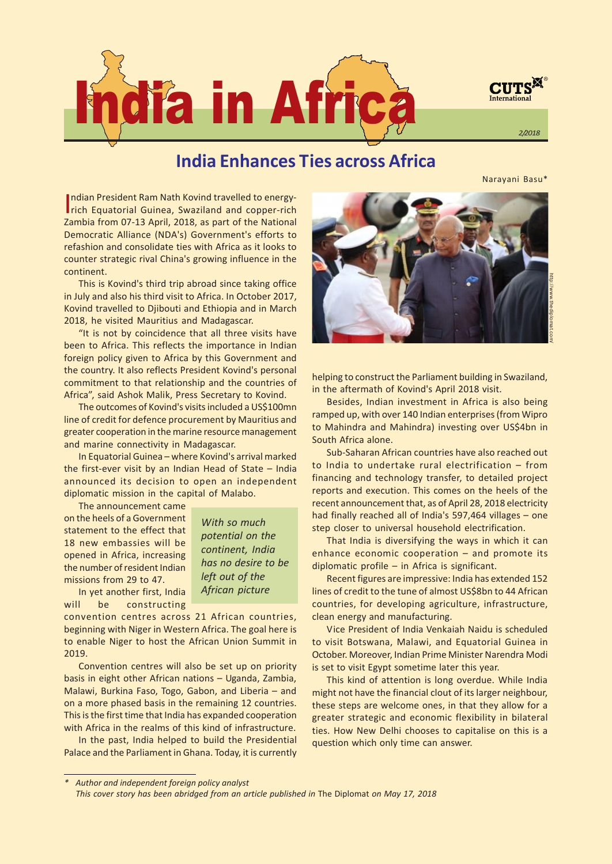

# India Enhances Ties across Africa

Narayani Basu\*

Indian President Ram Nath Kovind travelled to energy-<br>Irich Equatorial Guinea. Swaziland and copper-rich ndian President Ram Nath Kovind travelled to energy-Zambia from 07-13 April, 2018, as part of the National Democratic Alliance (NDA's) Government's efforts to refashion and consolidate ties with Africa as it looks to counter strategic rival China's growing influence in the continent.

This is Kovind's third trip abroad since taking office in July and also his third visit to Africa. In October 2017, Kovind travelled to Djibouti and Ethiopia and in March 2018, he visited Mauritius and Madagascar.

"It is not by coincidence that all three visits have been to Africa. This reflects the importance in Indian foreign policy given to Africa by this Government and the country. It also reflects President Kovind's personal commitment to that relationship and the countries of Africa", said Ashok Malik, Press Secretary to Kovind.

The outcomes of Kovind's visits included a US\$100mn line of credit for defence procurement by Mauritius and greater cooperation in the marine resource management and marine connectivity in Madagascar.

In Equatorial Guinea - where Kovind's arrival marked the first-ever visit by an Indian Head of State  $-$  India announced its decision to open an independent diplomatic mission in the capital of Malabo.

The announcement came on the heels of a Government statement to the effect that 18 new embassies will be opened in Africa, increasing the number of resident Indian missions from 29 to 47.

With so much potential on the continent, India has no desire to be left out of the African picture

In yet another first, India will be constructing

convention centres across 21 African countries, beginning with Niger in Western Africa. The goal here is to enable Niger to host the African Union Summit in 2019.

Convention centres will also be set up on priority basis in eight other African nations - Uganda, Zambia, Malawi, Burkina Faso, Togo, Gabon, and Liberia  $-$  and on a more phased basis in the remaining 12 countries. This is the first time that India has expanded cooperation with Africa in the realms of this kind of infrastructure.

In the past, India helped to build the Presidential Palace and the Parliament in Ghana. Today, it is currently



helping to construct the Parliament building in Swaziland, in the aftermath of Kovind's April 2018 visit.

Besides, Indian investment in Africa is also being ramped up, with over 140 Indian enterprises (from Wipro to Mahindra and Mahindra) investing over US\$4bn in South Africa alone.

Sub-Saharan African countries have also reached out to India to undertake rural electrification  $-$  from financing and technology transfer, to detailed project reports and execution. This comes on the heels of the recent announcement that, as of April 28, 2018 electricity had finally reached all of India's 597,464 villages  $-$  one step closer to universal household electrification.

That India is diversifying the ways in which it can enhance economic cooperation  $-$  and promote its diplomatic profile  $-$  in Africa is significant.

Recent figures are impressive: India has extended 152 lines of credit to the tune of almost US\$8bn to 44 African countries, for developing agriculture, infrastructure, clean energy and manufacturing.

Vice President of India Venkaiah Naidu is scheduled to visit Botswana, Malawi, and Equatorial Guinea in October. Moreover, Indian Prime Minister Narendra Modi is set to visit Egypt sometime later this year.

This kind of attention is long overdue. While India might not have the financial clout of its larger neighbour, these steps are welcome ones, in that they allow for a greater strategic and economic flexibility in bilateral ties. How New Delhi chooses to capitalise on this is a question which only time can answer.

Author and independent foreign policy analyst This cover story has been abridged from an article published in The Diplomat on May 17, 2018